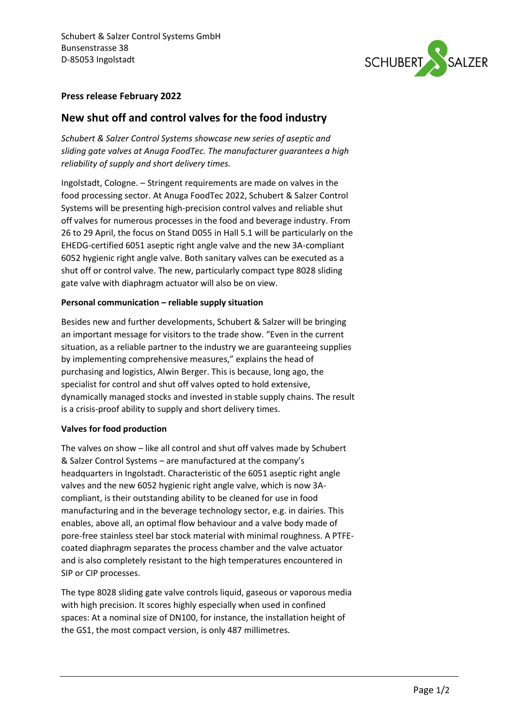

## **Press release February 2022**

# **New shut off and control valves for the food industry**

*Schubert & Salzer Control Systems showcase new series of aseptic and sliding gate valves at Anuga FoodTec. The manufacturer guarantees a high reliability of supply and short delivery times.*

Ingolstadt, Cologne. – Stringent requirements are made on valves in the food processing sector. At Anuga FoodTec 2022, Schubert & Salzer Control Systems will be presenting high-precision control valves and reliable shut off valves for numerous processes in the food and beverage industry. From 26 to 29 April, the focus on Stand D055 in Hall 5.1 will be particularly on the EHEDG-certified 6051 aseptic right angle valve and the new 3A-compliant 6052 hygienic right angle valve. Both sanitary valves can be executed as a shut off or control valve. The new, particularly compact type 8028 sliding gate valve with diaphragm actuator will also be on view.

### **Personal communication – reliable supply situation**

Besides new and further developments, Schubert & Salzer will be bringing an important message for visitors to the trade show. "Even in the current situation, as a reliable partner to the industry we are guaranteeing supplies by implementing comprehensive measures," explains the head of purchasing and logistics, Alwin Berger. This is because, long ago, the specialist for control and shut off valves opted to hold extensive, dynamically managed stocks and invested in stable supply chains. The result is a crisis-proof ability to supply and short delivery times.

### **Valves for food production**

The valves on show – like all control and shut off valves made by Schubert & Salzer Control Systems – are manufactured at the company's headquarters in Ingolstadt. Characteristic of the 6051 aseptic right angle valves and the new 6052 hygienic right angle valve, which is now 3Acompliant, is their outstanding ability to be cleaned for use in food manufacturing and in the beverage technology sector, e.g. in dairies. This enables, above all, an optimal flow behaviour and a valve body made of pore-free stainless steel bar stock material with minimal roughness. A PTFEcoated diaphragm separates the process chamber and the valve actuator and is also completely resistant to the high temperatures encountered in SIP or CIP processes.

The type 8028 sliding gate valve controls liquid, gaseous or vaporous media with high precision. It scores highly especially when used in confined spaces: At a nominal size of DN100, for instance, the installation height of the GS1, the most compact version, is only 487 millimetres.